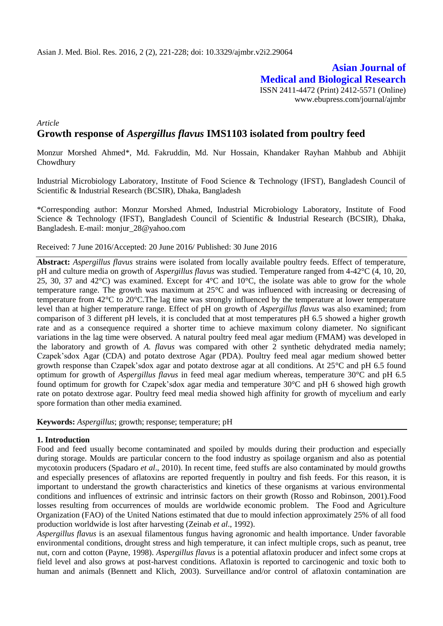**Asian Journal of Medical and Biological Research** ISSN 2411-4472 (Print) 2412-5571 (Online) www.ebupress.com/journal/ajmbr

*Article*

# **Growth response of** *Aspergillus flavus* **IMS1103 isolated from poultry feed**

Monzur Morshed Ahmed\*, Md. Fakruddin, Md. Nur Hossain, Khandaker Rayhan Mahbub and Abhijit Chowdhury

Industrial Microbiology Laboratory, Institute of Food Science & Technology (IFST), Bangladesh Council of Scientific & Industrial Research (BCSIR), Dhaka, Bangladesh

\*Corresponding author: Monzur Morshed Ahmed, Industrial Microbiology Laboratory, Institute of Food Science & Technology (IFST), Bangladesh Council of Scientific & Industrial Research (BCSIR), Dhaka, Bangladesh. E-mail: [monjur\\_28@yahoo.com](mailto:monjur_28@yahoo.com)

# Received: 7 June 2016/Accepted: 20 June 2016/ Published: 30 June 2016

**Abstract:** *Aspergillus flavus* strains were isolated from locally available poultry feeds. Effect of temperature, pH and culture media on growth of *Aspergillus flavus* was studied. Temperature ranged from 4-42°C (4, 10, 20, 25, 30, 37 and 42°C) was examined. Except for 4°C and 10°C, the isolate was able to grow for the whole temperature range. The growth was maximum at 25°C and was influenced with increasing or decreasing of temperature from 42°C to 20°C.The lag time was strongly influenced by the temperature at lower temperature level than at higher temperature range. Effect of pH on growth of *Aspergillus flavus* was also examined; from comparison of 3 different pH levels, it is concluded that at most temperatures pH 6.5 showed a higher growth rate and as a consequence required a shorter time to achieve maximum colony diameter. No significant variations in the lag time were observed. A natural poultry feed meal agar medium (FMAM) was developed in the laboratory and growth of *A. flavus* was compared with other 2 synthetic dehydrated media namely; Czapek'sdox Agar (CDA) and potato dextrose Agar (PDA). Poultry feed meal agar medium showed better growth response than Czapek'sdox agar and potato dextrose agar at all conditions. At 25°C and pH 6.5 found optimum for growth of *Aspergillus flavus* in feed meal agar medium whereas, temperature 30°C and pH 6.5 found optimum for growth for Czapek'sdox agar media and temperature 30°C and pH 6 showed high growth rate on potato dextrose agar. Poultry feed meal media showed high affinity for growth of mycelium and early spore formation than other media examined.

**Keywords:** *Aspergillus*; growth; response; temperature; pH

# **1. Introduction**

Food and feed usually become contaminated and spoiled by moulds during their production and especially during storage. Moulds are particular concern to the food industry as spoilage organism and also as potential mycotoxin producers (Spadaro *et al*., 2010). In recent time, feed stuffs are also contaminated by mould growths and especially presences of aflatoxins are reported frequently in poultry and fish feeds. For this reason, it is important to understand the growth characteristics and kinetics of these organisms at various environmental conditions and influences of extrinsic and intrinsic factors on their growth (Rosso and Robinson, 2001).Food losses resulting from occurrences of moulds are worldwide economic problem. The Food and Agriculture Organization (FAO) of the United Nations estimated that due to mould infection approximately 25% of all food production worldwide is lost after harvesting (Zeinab *et al*., 1992).

*Aspergillus flavus* is an asexual filamentous fungus having agronomic and health importance. Under favorable environmental conditions, drought stress and high temperature, it can infect multiple crops, such as peanut, tree nut, corn and cotton (Payne, 1998). *Aspergillus flavus* is a potential aflatoxin producer and infect some crops at field level and also grows at post-harvest conditions. Aflatoxin is reported to carcinogenic and toxic both to human and animals (Bennett and Klich, 2003). Surveillance and/or control of aflatoxin contamination are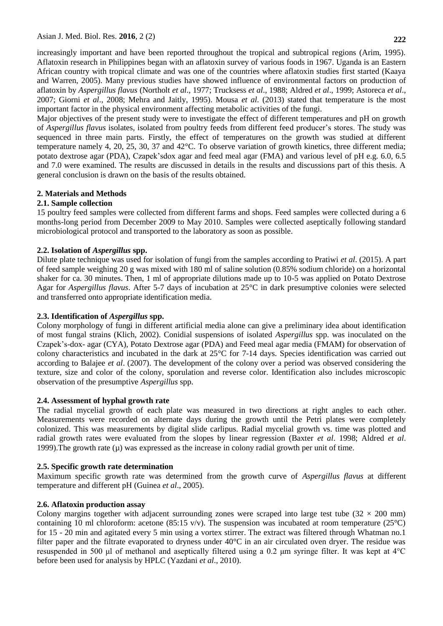increasingly important and have been reported throughout the tropical and subtropical regions (Arim, 1995). Aflatoxin research in Philippines began with an aflatoxin survey of various foods in 1967. Uganda is an Eastern African country with tropical climate and was one of the countries where aflatoxin studies first started (Kaaya and Warren, 2005). Many previous studies have showed influence of environmental factors on production of aflatoxin by *Aspergillus flavus* (Northolt *et al*., 1977; Trucksess *et al*., 1988; Aldred *et al*., 1999; Astoreca *et al*., 2007; Giorni *et al*., 2008; Mehra and Jaitly, 1995). Mousa *et al*. (2013) stated that temperature is the most important factor in the physical environment affecting metabolic activities of the fungi.

Major objectives of the present study were to investigate the effect of different temperatures and pH on growth of *Aspergillus flavus* isolates, isolated from poultry feeds from different feed producer's stores. The study was sequenced in three main parts. Firstly, the effect of temperatures on the growth was studied at different temperature namely 4, 20, 25, 30, 37 and 42°C. To observe variation of growth kinetics, three different media; potato dextrose agar (PDA), Czapek'sdox agar and feed meal agar (FMA) and various level of pH e.g. 6.0, 6.5 and 7.0 were examined. The results are discussed in details in the results and discussions part of this thesis. A general conclusion is drawn on the basis of the results obtained.

# **2. Materials and Methods**

# **2.1. Sample collection**

15 poultry feed samples were collected from different farms and shops. Feed samples were collected during a 6 months-long period from December 2009 to May 2010. Samples were collected aseptically following standard microbiological protocol and transported to the laboratory as soon as possible.

# **2.2. Isolation of** *Aspergillus* **spp.**

Dilute plate technique was used for isolation of fungi from the samples according to Pratiwi *et al*. (2015). A part of feed sample weighing 20 g was mixed with 180 ml of saline solution (0.85% sodium chloride) on a horizontal shaker for ca. 30 minutes. Then, 1 ml of appropriate dilutions made up to 10-5 was applied on Potato Dextrose Agar for *Aspergillus flavus*. After 5-7 days of incubation at 25°C in dark presumptive colonies were selected and transferred onto appropriate identification media.

# **2.3. Identification of** *Aspergillus* **spp.**

Colony morphology of fungi in different artificial media alone can give a preliminary idea about identification of most fungal strains (Klich, 2002). Conidial suspensions of isolated *Aspergillus* spp. was inoculated on the Czapek's-dox- agar (CYA), Potato Dextrose agar (PDA) and Feed meal agar media (FMAM) for observation of colony characteristics and incubated in the dark at 25°C for 7-14 days. Species identification was carried out according to Balajee *et al*. (2007). The development of the colony over a period was observed considering the texture, size and color of the colony, sporulation and reverse color. Identification also includes microscopic observation of the presumptive *Aspergillus* spp.

# **2.4. Assessment of hyphal growth rate**

The radial mycelial growth of each plate was measured in two directions at right angles to each other. Measurements were recorded on alternate days during the growth until the Petri plates were completely colonized. This was measurements by digital slide carlipus. Radial mycelial growth vs. time was plotted and radial growth rates were evaluated from the slopes by linear regression (Baxter *et al*. 1998; Aldred *et al*. 1999). The growth rate  $(\mu)$  was expressed as the increase in colony radial growth per unit of time.

# **2.5. Specific growth rate determination**

Maximum specific growth rate was determined from the growth curve of *Aspergillus flavus* at different temperature and different pH (Guinea *et al*., 2005).

# **2.6. Aflatoxin production assay**

Colony margins together with adjacent surrounding zones were scraped into large test tube  $(32 \times 200 \text{ mm})$ containing 10 ml chloroform: acetone (85:15 v/v). The suspension was incubated at room temperature (25 $^{\circ}$ C) for 15 - 20 min and agitated every 5 min using a vortex stirrer. The extract was filtered through Whatman no.1 filter paper and the filtrate evaporated to dryness under 40°C in an air circulated oven dryer. The residue was resuspended in 500 μl of methanol and aseptically filtered using a 0.2 μm syringe filter. It was kept at 4°C before been used for analysis by HPLC (Yazdani *et al*., 2010).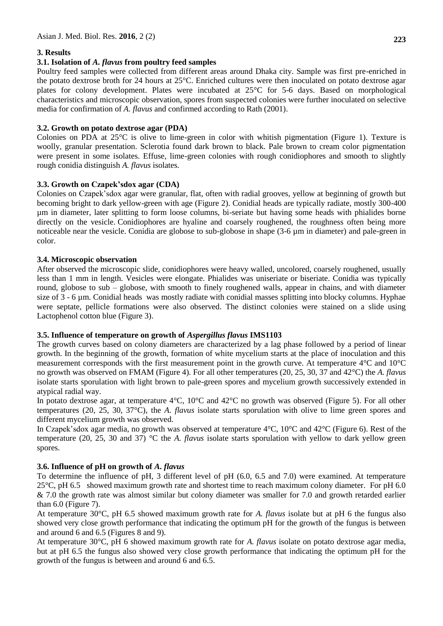# **3. Results**

# **3.1. Isolation of** *A. flavus* **from poultry feed samples**

Poultry feed samples were collected from different areas around Dhaka city. Sample was first pre-enriched in the potato dextrose broth for 24 hours at 25°C. Enriched cultures were then inoculated on potato dextrose agar plates for colony development. Plates were incubated at 25°C for 5-6 days. Based on morphological characteristics and microscopic observation, spores from suspected colonies were further inoculated on selective media for confirmation of *A. flavus* and confirmed according to Rath (2001).

# **3.2. Growth on potato dextrose agar (PDA)**

Colonies on PDA at  $25^{\circ}$ C is olive to lime-green in color with whitish pigmentation (Figure 1). Texture is woolly, granular presentation. Sclerotia found dark brown to black. Pale brown to cream color pigmentation were present in some isolates. Effuse, lime-green colonies with rough conidiophores and smooth to slightly rough conidia distinguish *A. flavus* isolates*.*

# **3.3. Growth on Czapek'sdox agar (CDA)**

Colonies on Czapek'sdox agar were granular, flat, often with radial grooves, yellow at beginning of growth but becoming bright to dark yellow-green with age (Figure 2). Conidial heads are typically radiate, mostly 300-400 µm in diameter, later splitting to form loose columns, bi-seriate but having some heads with phialides borne directly on the vesicle. Conidiophores are hyaline and coarsely roughened, the roughness often being more noticeable near the vesicle. Conidia are globose to sub-globose in shape (3-6 µm in diameter) and pale-green in color.

# **3.4. Microscopic observation**

After observed the microscopic slide, conidiophores were heavy walled, uncolored, coarsely roughened, usually less than 1 mm in length. Vesicles were elongate. Phialides was uniseriate or biseriate. Conidia was typically round, globose to sub – globose, with smooth to finely roughened walls, appear in chains, and with diameter size of 3 - 6 µm. Conidial heads was mostly radiate with conidial masses splitting into blocky columns. Hyphae were septate, pellicle formations were also observed. The distinct colonies were stained on a slide using Lactophenol cotton blue (Figure 3).

# **3.5. Influence of temperature on growth of** *Aspergillus flavus* **IMS1103**

The growth curves based on colony diameters are characterized by a lag phase followed by a period of linear growth. In the beginning of the growth, formation of white mycelium starts at the place of inoculation and this measurement corresponds with the first measurement point in the growth curve. At temperature 4°C and 10°C no growth was observed on FMAM (Figure 4). For all other temperatures (20, 25, 30, 37 and 42°C) the *A. flavus* isolate starts sporulation with light brown to pale-green spores and mycelium growth successively extended in atypical radial way.

In potato dextrose agar, at temperature 4°C, 10°C and 42°C no growth was observed (Figure 5). For all other temperatures (20, 25, 30, 37°C), the *A. flavus* isolate starts sporulation with olive to lime green spores and different mycelium growth was observed.

In Czapek'sdox agar media, no growth was observed at temperature 4°C, 10°C and 42°C (Figure 6). Rest of the temperature (20, 25, 30 and 37) °C the *A. flavus* isolate starts sporulation with yellow to dark yellow green spores.

# **3.6. Influence of pH on growth of** *A. flavus*

To determine the influence of pH, 3 different level of pH (6.0, 6.5 and 7.0) were examined. At temperature 25°C, pH 6.5 showed maximum growth rate and shortest time to reach maximum colony diameter. For pH 6.0 & 7.0 the growth rate was almost similar but colony diameter was smaller for 7.0 and growth retarded earlier than 6.0 (Figure 7).

At temperature 30°C, pH 6.5 showed maximum growth rate for *A. flavus* isolate but at pH 6 the fungus also showed very close growth performance that indicating the optimum pH for the growth of the fungus is between and around 6 and 6.5 (Figures 8 and 9).

At temperature 30°C, pH 6 showed maximum growth rate for *A. flavus* isolate on potato dextrose agar media, but at pH 6.5 the fungus also showed very close growth performance that indicating the optimum pH for the growth of the fungus is between and around 6 and 6.5.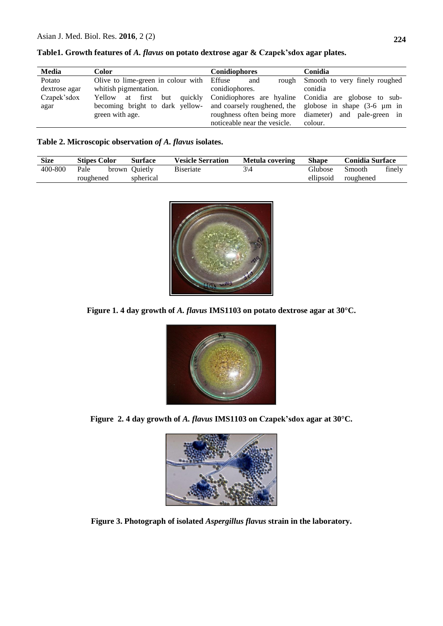| Media         | Color                                                                             | <b>Conidiophores</b>         | Conidia                                                 |  |  |
|---------------|-----------------------------------------------------------------------------------|------------------------------|---------------------------------------------------------|--|--|
| Potato        | Olive to lime-green in colour with Effuse                                         | and                          | rough Smooth to very finely roughed                     |  |  |
| dextrose agar | whitish pigmentation.                                                             | conidiophores.               | conidia                                                 |  |  |
| Czapek'sdox   | Yellow at first but quickly Conidiophores are hyaline Conidia are globose to sub- |                              |                                                         |  |  |
| agar          | becoming bright to dark yellow-                                                   |                              | and coarsely roughened, the globose in shape (3-6 µm in |  |  |
|               | green with age.                                                                   |                              | roughness often being more diameter) and pale-green in  |  |  |
|               |                                                                                   | noticeable near the vesicle. | colour.                                                 |  |  |

**Table1. Growth features of** *A. flavus* **on potato dextrose agar & Czapek'sdox agar plates.**

**Table 2. Microscopic observation** *of A. flavus* **isolates.**

| <b>Size</b> | <b>Stipes Color</b> |  | <b>Surface</b> | <b>Vesicle Serration</b> | Metula covering | <b>Shape</b>   | <b>Conidia Surface</b> |        |
|-------------|---------------------|--|----------------|--------------------------|-----------------|----------------|------------------------|--------|
| 400-800     | Pale                |  | brown Ouietly  | <b>B</b> iseriate        | ঽ∖∠             | <b>Glubose</b> | Smooth                 | finely |
|             | roughened           |  | spherical      |                          |                 | ellipsoid      | roughened              |        |



**Figure 1. 4 day growth of** *A. flavus* **IMS1103 on potato dextrose agar at 30°C.**



**Figure 2. 4 day growth of** *A. flavus* **IMS1103 on Czapek'sdox agar at 30°C.**



**Figure 3. Photograph of isolated** *Aspergillus flavus* **strain in the laboratory.**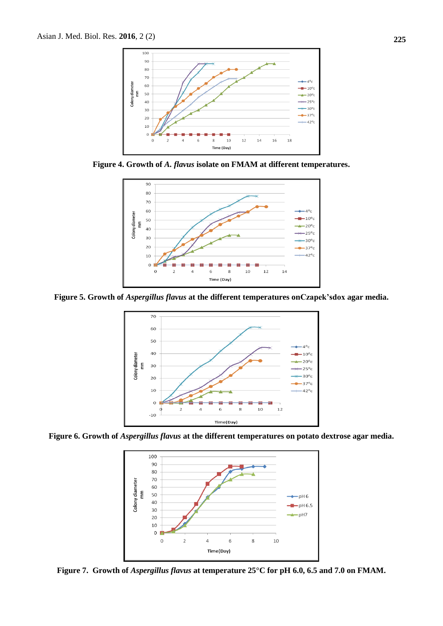

**Figure 4. Growth of** *A. flavus* **isolate on FMAM at different temperatures.**



**Figure 5. Growth of** *Aspergillus flavus* **at the different temperatures onCzapek'sdox agar media.**



**Figure 6. Growth of** *Aspergillus flavus* **at the different temperatures on potato dextrose agar media.**



**Figure 7. Growth of** *Aspergillus flavus* **at temperature 25°C for pH 6.0, 6.5 and 7.0 on FMAM.**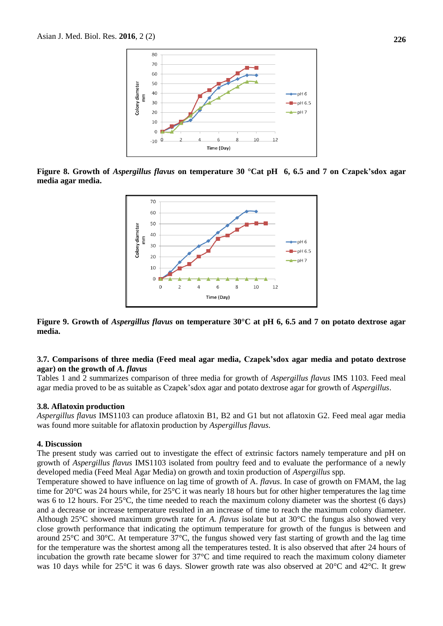

**Figure 8. Growth of** *Aspergillus flavus* **on temperature 30 °Cat pH 6, 6.5 and 7 on Czapek'sdox agar media agar media.**



**Figure 9. Growth of** *Aspergillus flavus* **on temperature 30°C at pH 6, 6.5 and 7 on potato dextrose agar media.**

#### **3.7. Comparisons of three media (Feed meal agar media, Czapek'sdox agar media and potato dextrose agar) on the growth of** *A. flavus*

Tables 1 and 2 summarizes comparison of three media for growth of *Aspergillus flavus* IMS 1103. Feed meal agar media proved to be as suitable as Czapek'sdox agar and potato dextrose agar for growth of *Aspergillus*.

#### **3.8. Aflatoxin production**

*Aspergillus flavus* IMS1103 can produce aflatoxin B1, B2 and G1 but not aflatoxin G2. Feed meal agar media was found more suitable for aflatoxin production by *Aspergillus flavus*.

#### **4. Discussion**

The present study was carried out to investigate the effect of extrinsic factors namely temperature and pH on growth of *Aspergillus flavus* IMS1103 isolated from poultry feed and to evaluate the performance of a newly developed media (Feed Meal Agar Media) on growth and toxin production of *Aspergillus* spp*.*

Temperature showed to have influence on lag time of growth of A. *flavus*. In case of growth on FMAM, the lag time for 20°C was 24 hours while, for 25°C it was nearly 18 hours but for other higher temperatures the lag time was 6 to 12 hours. For 25<sup>o</sup>C, the time needed to reach the maximum colony diameter was the shortest (6 days) and a decrease or increase temperature resulted in an increase of time to reach the maximum colony diameter. Although 25°C showed maximum growth rate for *A. flavus* isolate but at 30°C the fungus also showed very close growth performance that indicating the optimum temperature for growth of the fungus is between and around 25°C and 30°C. At temperature 37°C, the fungus showed very fast starting of growth and the lag time for the temperature was the shortest among all the temperatures tested. It is also observed that after 24 hours of incubation the growth rate became slower for 37°C and time required to reach the maximum colony diameter was 10 days while for 25°C it was 6 days. Slower growth rate was also observed at 20°C and 42°C. It grew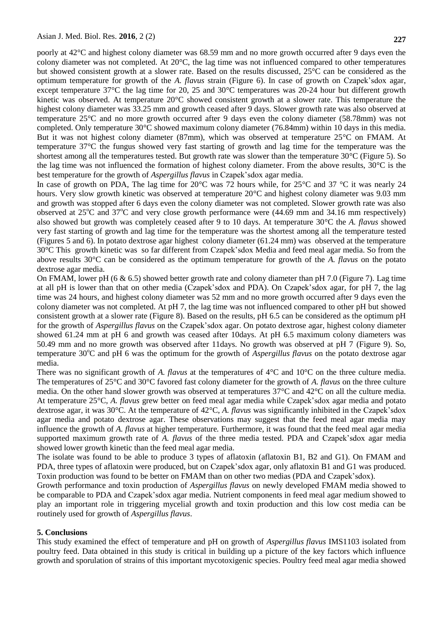poorly at 42°C and highest colony diameter was 68.59 mm and no more growth occurred after 9 days even the colony diameter was not completed. At 20°C, the lag time was not influenced compared to other temperatures but showed consistent growth at a slower rate. Based on the results discussed, 25°C can be considered as the optimum temperature for growth of the *A. flavus* strain (Figure 6). In case of growth on Czapek'sdox agar, except temperature 37°C the lag time for 20, 25 and 30°C temperatures was 20-24 hour but different growth kinetic was observed. At temperature 20°C showed consistent growth at a slower rate. This temperature the highest colony diameter was 33.25 mm and growth ceased after 9 days. Slower growth rate was also observed at temperature 25°C and no more growth occurred after 9 days even the colony diameter (58.78mm) was not completed. Only temperature 30°C showed maximum colony diameter (76.84mm) within 10 days in this media. But it was not highest colony diameter (87mm), which was observed at temperature 25°C on FMAM. At temperature 37°C the fungus showed very fast starting of growth and lag time for the temperature was the shortest among all the temperatures tested. But growth rate was slower than the temperature 30°C (Figure 5). So the lag time was not influenced the formation of highest colony diameter. From the above results, 30°C is the best temperature for the growth of *Aspergillus flavus* in Czapek'sdox agar media.

In case of growth on PDA, The lag time for 20°C was 72 hours while, for 25°C and 37 °C it was nearly 24 hours. Very slow growth kinetic was observed at temperature 20<sup>o</sup>C and highest colony diameter was 9.03 mm and growth was stopped after 6 days even the colony diameter was not completed. Slower growth rate was also observed at  $25^{\circ}$ C and  $37^{\circ}$ C and very close growth performance were (44.69 mm and 34.16 mm respectively) also showed but growth was completely ceased after 9 to 10 days. At temperature 30°C the *A. flavus* showed very fast starting of growth and lag time for the temperature was the shortest among all the temperature tested (Figures 5 and 6). In potato dextrose agar highest colony diameter (61.24 mm) was observed at the temperature 30°C This growth kinetic was so far different from Czapek'sdox Media and feed meal agar media. So from the above results 30°C can be considered as the optimum temperature for growth of the *A. flavus* on the potato dextrose agar media.

On FMAM, lower pH  $(6 \& 6.5)$  showed better growth rate and colony diameter than pH 7.0 (Figure 7). Lag time at all pH is lower than that on other media (Czapek'sdox and PDA). On Czapek'sdox agar, for pH 7, the lag time was 24 hours, and highest colony diameter was 52 mm and no more growth occurred after 9 days even the colony diameter was not completed. At pH 7, the lag time was not influenced compared to other pH but showed consistent growth at a slower rate (Figure 8). Based on the results, pH 6.5 can be considered as the optimum pH for the growth of *Aspergillus flavus* on the Czapek'sdox agar. On potato dextrose agar, highest colony diameter showed 61.24 mm at pH 6 and growth was ceased after 10days. At pH 6.5 maximum colony diameters was 50.49 mm and no more growth was observed after 11days. No growth was observed at pH 7 (Figure 9). So, temperature 30<sup>o</sup>C and pH 6 was the optimum for the growth of *Aspergillus flavus* on the potato dextrose agar media.

There was no significant growth of *A. flavus* at the temperatures of 4°C and 10°C on the three culture media. The temperatures of 25°C and 30°C favored fast colony diameter for the growth of *A. flavus* on the three culture media. On the other hand slower growth was observed at temperatures 37°C and 42°C on all the culture media. At temperature 25°C, *A. flavus* grew better on feed meal agar media while Czapek'sdox agar media and potato dextrose agar, it was 30°C. At the temperature of 42°C, *A. flavus* was significantly inhibited in the Czapek'sdox agar media and potato dextrose agar. These observations may suggest that the feed meal agar media may influence the growth of *A. flavus* at higher temperature*.* Furthermore, it was found that the feed meal agar media supported maximum growth rate of *A. flavus* of the three media tested. PDA and Czapek'sdox agar media showed lower growth kinetic than the feed meal agar media.

The isolate was found to be able to produce 3 types of aflatoxin (aflatoxin B1, B2 and G1). On FMAM and PDA, three types of aflatoxin were produced, but on Czapek'sdox agar, only aflatoxin B1 and G1 was produced. Toxin production was found to be better on FMAM than on other two medias (PDA and Czapek'sdox).

Growth performance and toxin production of *Aspergillus flavus* on newly developed FMAM media showed to be comparable to PDA and Czapek'sdox agar media. Nutrient components in feed meal agar medium showed to play an important role in triggering mycelial growth and toxin production and this low cost media can be routinely used for growth of *Aspergillus flavus*.

# **5. Conclusions**

This study examined the effect of temperature and pH on growth of *Aspergillus flavus* IMS1103 isolated from poultry feed. Data obtained in this study is critical in building up a picture of the key factors which influence growth and sporulation of strains of this important mycotoxigenic species. Poultry feed meal agar media showed